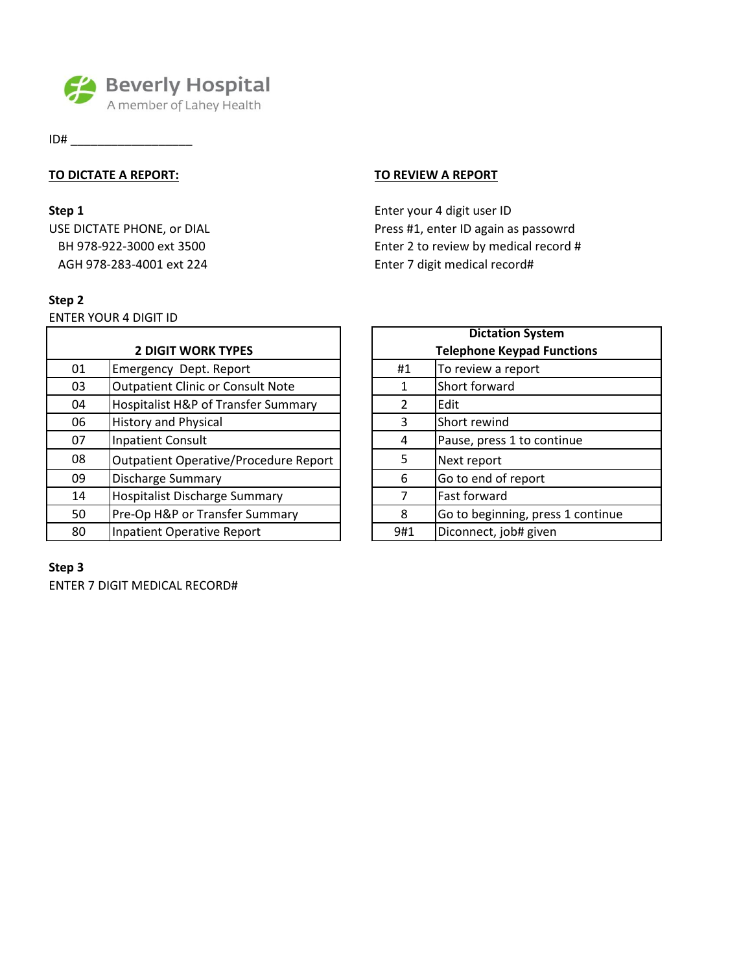

ID# \_\_\_\_\_\_\_\_\_\_\_\_\_\_\_\_\_\_

## **TO DICTATE A REPORT: TO REVIEW A REPORT**

AGH 978-283-4001 ext 224 Enter 7 digit medical record#

## **Step 2**

ENTER YOUR 4 DIGIT ID

| <b>2 DIGIT WORK TYPES</b> |                                          |     | <b>Telephone Keypad Functions</b> |
|---------------------------|------------------------------------------|-----|-----------------------------------|
| 01                        | Emergency Dept. Report                   | #1  | To review a report                |
| 03                        | <b>Outpatient Clinic or Consult Note</b> | 1   | Short forward                     |
| 04                        | Hospitalist H&P of Transfer Summary      | 2   | Edit                              |
| 06                        | <b>History and Physical</b>              | 3   | Short rewind                      |
| 07                        | <b>Inpatient Consult</b>                 | 4   | Pause, press 1 to continue        |
| 08                        | Outpatient Operative/Procedure Report    | 5   | Next report                       |
| 09                        | <b>Discharge Summary</b>                 | 6   | Go to end of report               |
| 14                        | <b>Hospitalist Discharge Summary</b>     |     | Fast forward                      |
| 50                        | Pre-Op H&P or Transfer Summary           | 8   | Go to beginning, press 1 continue |
| 80                        | Inpatient Operative Report               | 9#1 | Diconnect, job# given             |
|                           |                                          |     |                                   |

# **Step 3**

ENTER 7 DIGIT MEDICAL RECORD#

**Step 1** Enter your 4 digit user ID USE DICTATE PHONE, or DIAL Press #1, enter ID again as passowrd BH 978-922-3000 ext 3500 Enter 2 to review by medical record #

| <b>Dictation System</b>           |                                   |  |  |
|-----------------------------------|-----------------------------------|--|--|
| <b>Telephone Keypad Functions</b> |                                   |  |  |
| #1                                | To review a report                |  |  |
| 1                                 | Short forward                     |  |  |
| $\overline{2}$                    | Edit                              |  |  |
| 3                                 | Short rewind                      |  |  |
| 4                                 | Pause, press 1 to continue        |  |  |
| 5                                 | Next report                       |  |  |
| 6                                 | Go to end of report               |  |  |
| 7                                 | Fast forward                      |  |  |
| 8                                 | Go to beginning, press 1 continue |  |  |
| 9#1                               | Diconnect, job# given             |  |  |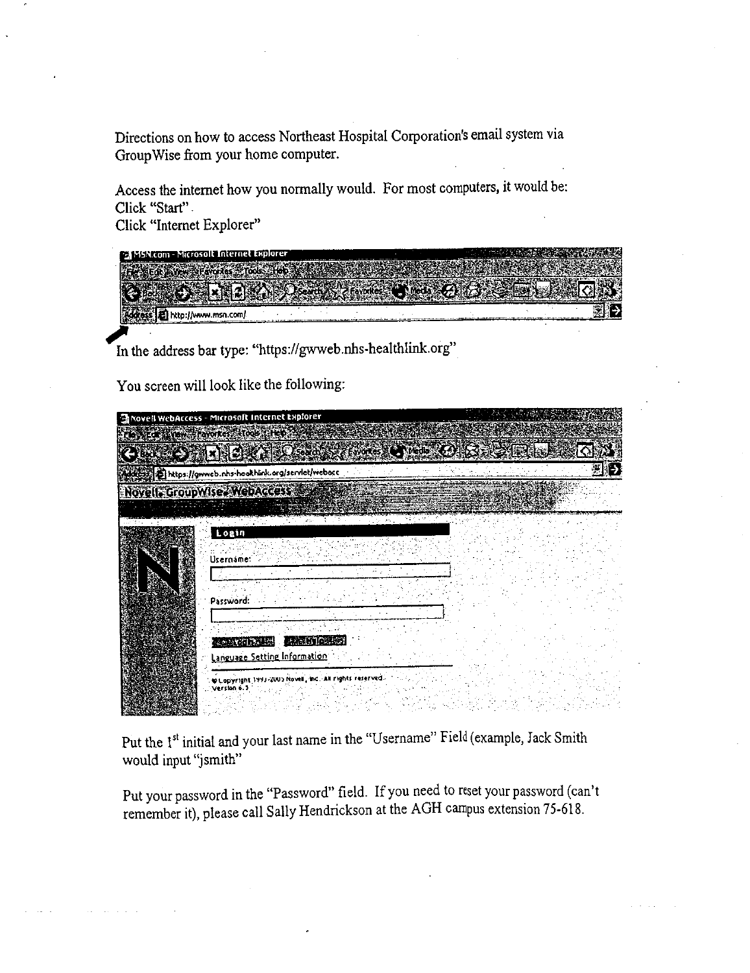Directions on how to access Northeast Hospital Corporation's email system via GroupWise from your home computer.

Access the internet how you normally would. For most computers, it would be: Click "Start"

Click "Internet Explorer"

| MSN.com - Microsolt Internet Explorer |  |  |
|---------------------------------------|--|--|
|                                       |  |  |
|                                       |  |  |
|                                       |  |  |
|                                       |  |  |
|                                       |  |  |

In the address bar type: "https://gwweb.nhs-healthlink.org"

You screen will look like the following:

| Movell WebAccess - Microsoft Internet Explorer                           |  |
|--------------------------------------------------------------------------|--|
| Flow Edward Boyottes - Tools Liter                                       |  |
| <b>SALE COMPANY CONTROLLED BELLET</b>                                    |  |
| https://gwweb.nhs-healthlink.org/servlet/webocc                          |  |
| Novell CroupWise. WebAccess<br>anares el                                 |  |
| Login<br>Username:                                                       |  |
| Password:                                                                |  |
| <b>RANCE WI</b><br><b>Comments</b><br>Language Setting Information       |  |
| @Lopyright 1993-2005 Novell, Inc., All rights reserved.<br>: Version 6.1 |  |

Put the 1<sup>st</sup> initial and your last name in the "Username" Field (example, Jack Smith would input "jsmith"

Put your password in the "Password" field. If you need to reset your password (can't remember it), please call Sally Hendrickson at the AGH campus extension 75-618.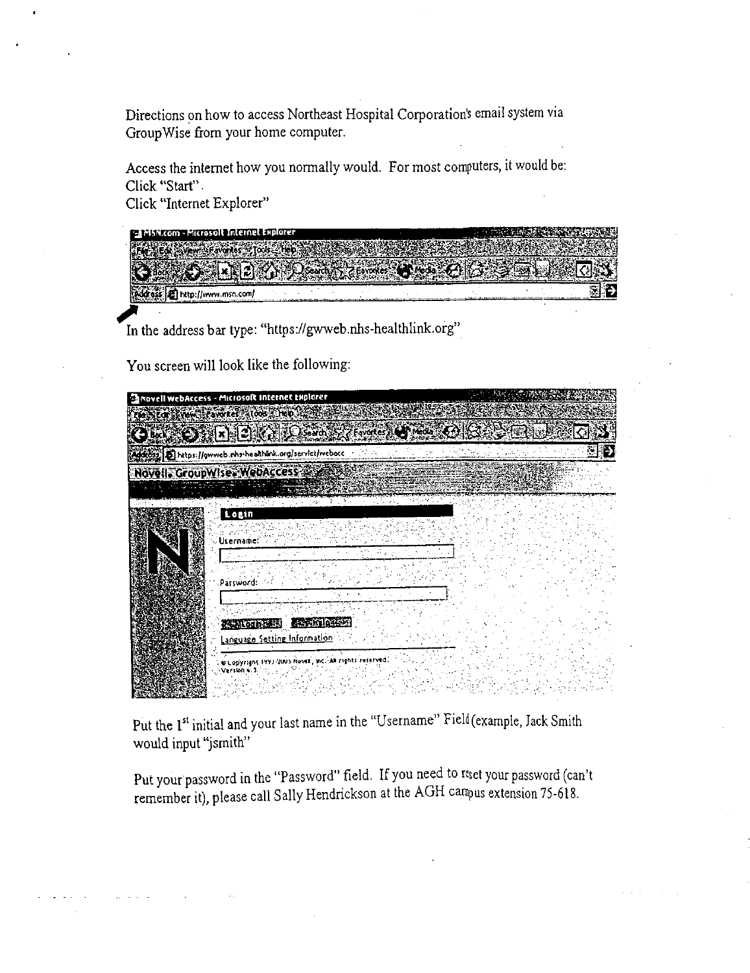Directions on how to access Northeast Hospital Corporation's email system via GroupWise from your home computer.

Access the internet how you normally would. For most computers, it would be: Click "Start".

Click "Internet Explorer"

| 155 Kcom - Microsolt Internet Explorer |  |
|----------------------------------------|--|
|                                        |  |
|                                        |  |
| m                                      |  |

In the address bar type: "https://gwweb.nhs-healthlink.org"

You screen will look like the following:

| <b>Canovell webAccess - Microsoft Internet Explorer</b>                                                                                     |  |
|---------------------------------------------------------------------------------------------------------------------------------------------|--|
| <b>The Star How Havores</b> Stock Trep                                                                                                      |  |
| $\mathbf{G}$ by $\mathbf{G}$ , $\mathbf{G}$ and $\mathbf{G}$ and $\mathbf{G}$ and $\mathbf{G}$ is a set of $\mathbf{G}$ . Then $\mathbf{G}$ |  |
| Addition   2 https://gwweb.nhs-healthink.org/servict/webacc                                                                                 |  |
| Novell, GroupWise, WebAccess                                                                                                                |  |
|                                                                                                                                             |  |
| Login<br>Username:<br>Password:<br><b>LEADER TO THE EX</b><br><b>Readom cast</b><br><u>Language Setting Information</u>                     |  |
| @ Lopyright 1991-2005 Novel, Inc., All rights reserved.<br>-Version 4                                                                       |  |

Put the 1st initial and your last name in the "Username" Field (example, Jack Smith would input "jsmith"

Put your password in the "Password" field. If you need to rest your password (can't remember it), please call Sally Hendrickson at the AGH campus extension 75-618.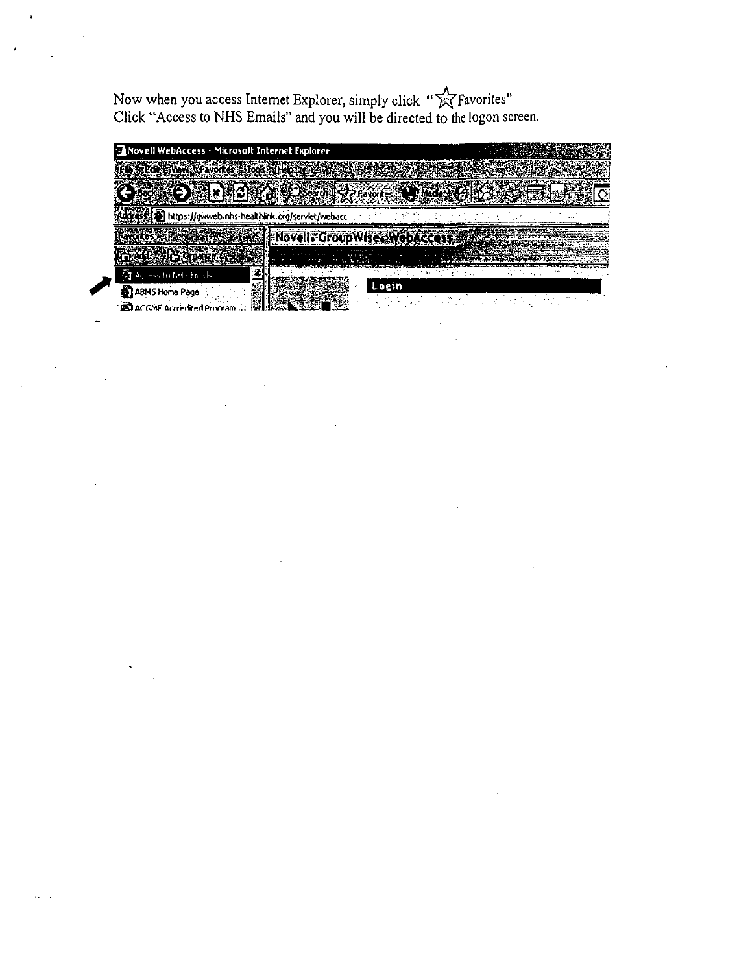Now when you access Internet Explorer, simply click " $\sqrt[\infty]{}$ Favorites" Click "Access to NHS Emails" and you will be directed to the logon screen.

| <b>23 Novell WebAccess - Microsoft Internet Explorer</b> |                                  |  |
|----------------------------------------------------------|----------------------------------|--|
| Le stat wew favores blood theory                         |                                  |  |
|                                                          | O NAME AND SOME SCALE<br>Media 3 |  |
| [4] https://gwweb.nhs-healthlink.org/servlet/webacc      |                                  |  |
|                                                          | Novell GroupWises WebAccess      |  |
| Add All Y Organization                                   |                                  |  |
| ÷.<br><b>ST</b> Access to MIS Emails                     |                                  |  |
| 43 ABMS Home Page<br><b>ACGMF</b> Accredited Proma       | Lozin                            |  |